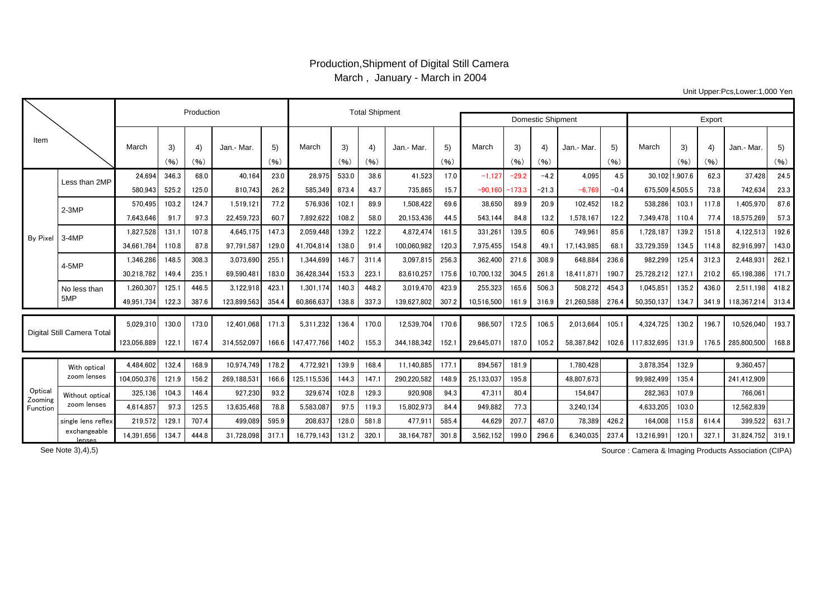## Production,Shipment of Digital Still Camera March , January - March in 2004

Unit Upper:Pcs,Lower:1,000 Yen

|                               |                             |             | Production |            | <b>Total Shipment</b> |            |                   |            |            |             |            |            |                   |            |            |            |                 |            |            |             |            |
|-------------------------------|-----------------------------|-------------|------------|------------|-----------------------|------------|-------------------|------------|------------|-------------|------------|------------|-------------------|------------|------------|------------|-----------------|------------|------------|-------------|------------|
|                               |                             |             |            |            |                       |            |                   |            |            |             |            |            | Domestic Shipment | Export     |            |            |                 |            |            |             |            |
| Item                          |                             | March       | 3)<br>(96) | 4)<br>(96) | Jan.- Mar.            | 5)<br>(96) | March             | 3)<br>(96) | 4)<br>(96) | Jan.- Mar.  | 5)<br>(96) | March      | 3)<br>(96)        | 4)<br>(96) | Jan.- Mar. | 5)<br>(96) | March           | 3)<br>(96) | 4)<br>(96) | Jan.- Mar.  | 5)<br>(96) |
| By Pixe                       | Less than 2MP               | 24.694      | 346.3      | 68.0       | 40.164                | 23.0       | 28.975            | 533.0      | 38.6       | 41.523      | 17.0       | $-1.127$   | $-29.2$           | $-4.2$     | 4,095      | 4.5        | 30.102 1.907.6  |            | 62.3       | 37.428      | 24.5       |
|                               |                             | 580.943     | 525.2      | 125.0      | 810,743               | 26.2       | 585.349           | 873.4      | 43.7       | 735,865     | 15.7       | $-90.160$  | $-173.3$          | $-21.3$    | $-6.769$   | $-0.4$     | 675.509 4.505.5 |            | 73.8       | 742.634     | 23.3       |
|                               | $2-3MP$                     | 570,495     | 103.2      | 124.7      | 1,519,121             | 77.2       | 576,936           | 102.1      | 89.9       | 1,508,422   | 69.6       | 38,650     | 89.9              | 20.9       | 102,452    | 18.2       | 538,286         | 103.1      | 117.8      | 1,405,970   | 87.6       |
|                               |                             | 7.643.646   | 91.7       | 97.3       | 22.459.723            | 60.7       | 7.892.622         | 108.2      | 58.0       | 20.153.436  | 44.5       | 543.144    | 84.8              | 13.2       | 1.578.167  | 12.2       | 7.349.478       | 110.4      | 77.4       | 18.575.269  | 57.3       |
|                               | 3-4MP                       | 1.827.528   | 131.1      | 107.8      | 4.645.175             | 147.3      | 2.059.448         | 139.2      | 122.2      | 4.872.474   | 161.5      | 331.261    | 139.5             | 60.6       | 749.961    | 85.6       | 1.728.187       | 139.2      | 151.8      | 4,122,513   | 192.6      |
|                               |                             | 34,661,784  | 110.8      | 87.8       | 97,791,587            | 129.0      | 41,704,814        | 138.0      | 91.4       | 100,060,982 | 120.3      | 7.975.455  | 154.8             | 491        | 17.143.985 | 68.        | 33,729,359      | 134.5      | 1148       | 82.916.997  | 143.0      |
|                               | 4-5MP                       | 1.346.286   | 148.5      | 308.3      | 3.073.690             | 255.       | 1.344.699         | 146.7      | 311.4      | 3.097.815   | 256.3      | 362,400    | 271.6             | 308.9      | 648,884    | 236.6      | 982.299         | 125.4      | 312.3      | 2.448.931   | 262.1      |
|                               |                             | 30.218.782  | 149.4      | 235.1      | 69.590.481            | 183.0      | 36.428.344        | 153.3      | 223.1      | 83.610.257  | 175.6      | 10.700.132 | 304.5             | 261.8      | 18.411.871 | 190.7      | 25.728.212      | 127.1      | 210.2      | 65.198.386  | 171.7      |
|                               | No less than                | 1.260.307   | 125.1      | 446.5      | 3,122,918             | 423.       | 1.301.174         | 140.3      | 448.2      | 3.019.470   | 423.9      | 255.323    | 165.6             | 506.3      | 508.272    | 454.3      | 1.045.851       | 135.2      | 436.0      | 2,511,198   | 418.2      |
|                               | 5MP                         | 49.951.734  | 122.3      | 387.6      | 123.899.563           | 354.4      | 60.866.637        | 138.8      | 337.3      | 139,627,802 | 307.2      | 10.516.500 | 161.9             | 316.9      | 21,260,588 | 276.4      | 50.350.137      | 134.7      | 341.9      | 118.367.214 | 313.4      |
| Digital Still Camera Total    |                             | 5.029.310   | 130.0      | 173.0      | 12.401.068            | 171.3      | 5.311.232         | 136.4      | 170.0      | 12.539.704  | 170.6      | 986.507    | 172.5             | 106.5      | 2.013.664  | 105.1      | 4.324.725       | 130.2      | 196.7      | 10.526.040  | 193.7      |
|                               |                             | 123,056,889 | 122.       | 167.4      | 314.552.097           |            | 166.6 147.477.766 | 140.2      | 155.3      | 344,188,342 | 152.1      | 29.645.071 | 187.0             | 105.2      | 58.387.842 | 102.6      | 117.832.695     | 131.9      | 176.5      | 285.800.500 | 168.8      |
|                               | With optical<br>zoom lenses | 4.484.602   | 132.4      | 168.9      | 10.974.749            | 178.2      | 4,772,92          | 139.9      | 168.4      | 11,140,885  | 177.1      | 894.567    | 181.9             |            | 1.780.428  |            | 3,878,354       | 132.9      |            | 9.360.457   |            |
| Optica<br>Zooming<br>Function |                             | 104.050.376 | 121.9      | 156.2      | 269.188.531           | 166.6      | 125.115.536       | 144.3      | 147.1      | 290,220,582 | 148.9      | 25,133,037 | 195.8             |            | 48.807.673 |            | 99.982.499      | 135.4      |            | 241,412,909 |            |
|                               | Without optical             | 325,136     | 104.3      | 146.4      | 927,230               | 93.2       | 329,674           | 102.8      | 129.3      | 920,908     | 94.3       | 47.311     | 80.4              |            | 154.847    |            | 282,363         | 107.9      |            | 766.061     |            |
|                               | zoom lenses                 | 4.614.857   | 97.3       | 125.5      | 13.635.468            | 78.8       | 5.583.087         | 97.5       | 119.3      | 15,802,973  | 84.4       | 949.882    | 77.3              |            | 3.240.134  |            | 4.633.205       | 103.0      |            | 12.562.839  |            |
|                               | single lens reflex          | 219.572     | 129.       | 707.4      | 499.089               | 595.9      | 208.637           | 128.0      | 581.8      | 477.911     | 585.4      | 44.629     | 207.7             | 487.0      | 78,389     | 426.2      | 164.008         | 115.8      | 614.4      | 399.522     | 631.7      |
|                               | exchangeable<br>lenses      | 14,391,656  | 134.7      | 444.8      | 31,728,098            | 317.       | 16,779,143        | 131.2      | 320.1      | 38,164,787  | 301.8      | 3,562,152  | 199.0             | 296.6      | 6.340.035  | 237.4      | 13,216,99       | 120.1      | 327.       | 31,824,752  | 319.1      |

Source : Camera & Imaging Products Association (CIPA)

See Note 3),4),5)